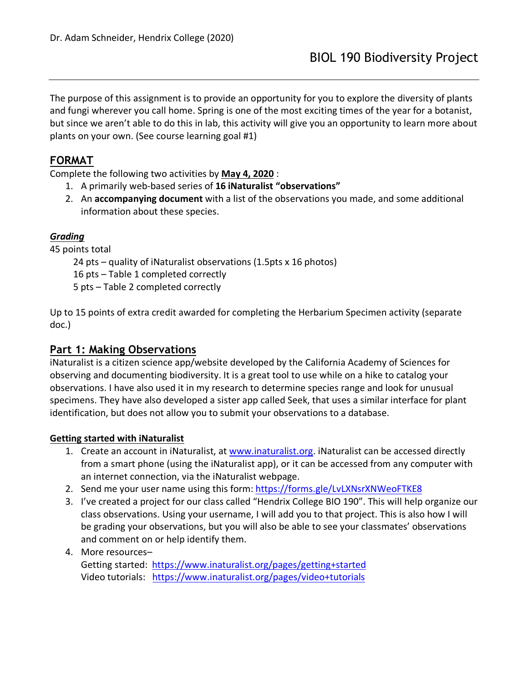The purpose of this assignment is to provide an opportunity for you to explore the diversity of plants and fungi wherever you call home. Spring is one of the most exciting times of the year for a botanist, but since we aren't able to do this in lab, this activity will give you an opportunity to learn more about plants on your own. (See course learning goal #1)

## **FORMAT**

Complete the following two activities by **May 4, 2020** :

- 1. A primarily web-based series of **16 iNaturalist "observations"**
- 2. An **accompanying document** with a list of the observations you made, and some additional information about these species.

## *Grading*

45 points total

- 24 pts quality of iNaturalist observations (1.5pts x 16 photos)
- 16 pts Table 1 completed correctly

5 pts – Table 2 completed correctly

Up to 15 points of extra credit awarded for completing the Herbarium Specimen activity (separate doc.)

## **Part 1: Making Observations**

iNaturalist is a citizen science app/website developed by the California Academy of Sciences for observing and documenting biodiversity. It is a great tool to use while on a hike to catalog your observations. I have also used it in my research to determine species range and look for unusual specimens. They have also developed a sister app called Seek, that uses a similar interface for plant identification, but does not allow you to submit your observations to a database.

### **Getting started with iNaturalist**

- 1. Create an account in iNaturalist, at www.inaturalist.org. INaturalist can be accessed directly from a smart phone (using the iNaturalist app), or it can be accessed from any computer with an internet connection, via the iNaturalist webpage.
- 2. Send me your user name using this form: https://forms.gle/LvLXNsrXNWeoFTKE8
- 3. I've created a project for our class called "Hendrix College BIO 190". This will help organize our class observations. Using your username, I will add you to that project. This is also how I will be grading your observations, but you will also be able to see your classmates' observations and comment on or help identify them.
- 4. More resources– Getting started: https://www.inaturalist.org/pages/getting+started Video tutorials: https://www.inaturalist.org/pages/video+tutorials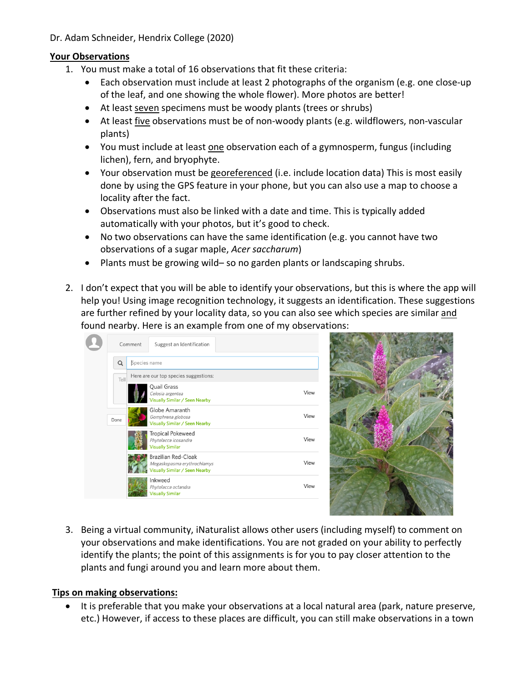Dr. Adam Schneider, Hendrix College (2020)

#### **Your Observations**

- 1. You must make a total of 16 observations that fit these criteria:
	- Each observation must include at least 2 photographs of the organism (e.g. one close-up of the leaf, and one showing the whole flower). More photos are better!
	- At least seven specimens must be woody plants (trees or shrubs)
	- At least five observations must be of non-woody plants (e.g. wildflowers, non-vascular plants)
	- You must include at least one observation each of a gymnosperm, fungus (including lichen), fern, and bryophyte.
	- Your observation must be georeferenced (i.e. include location data) This is most easily done by using the GPS feature in your phone, but you can also use a map to choose a locality after the fact.
	- Observations must also be linked with a date and time. This is typically added automatically with your photos, but it's good to check.
	- No two observations can have the same identification (e.g. you cannot have two observations of a sugar maple, *Acer saccharum*)
	- Plants must be growing wild– so no garden plants or landscaping shrubs.
- 2. I don't expect that you will be able to identify your observations, but this is where the app will help you! Using image recognition technology, it suggests an identification. These suggestions are further refined by your locality data, so you can also see which species are similar and found nearby. Here is an example from one of my observations:

|  | Comment  |              | Suggest an Identification                                                                   |      |  |
|--|----------|--------------|---------------------------------------------------------------------------------------------|------|--|
|  | $\alpha$ | Species name |                                                                                             |      |  |
|  | Tell     |              | Here are our top species suggestions:                                                       |      |  |
|  |          |              | <b>Quail Grass</b><br>Celosia argentea<br>Visually Similar / Seen Nearby                    | View |  |
|  | Done     |              | Globe Amaranth<br>Gomphrena globosa<br>Visually Similar / Seen Nearby                       | View |  |
|  |          |              | <b>Tropical Pokeweed</b><br>Phytolacca icosandra<br><b>Visually Similar</b>                 | View |  |
|  |          |              | <b>Brazilian Red-Cloak</b><br>Megaskepasma erythrochlamys<br>Visually Similar / Seen Nearby | View |  |
|  |          |              | Inkweed<br>Phytolacca octandra<br><b>Visually Similar</b>                                   | View |  |
|  |          |              |                                                                                             |      |  |

3. Being a virtual community, iNaturalist allows other users (including myself) to comment on your observations and make identifications. You are not graded on your ability to perfectly identify the plants; the point of this assignments is for you to pay closer attention to the plants and fungi around you and learn more about them.

**Property of the Communication** 

### **Tips on making observations:**

• It is preferable that you make your observations at a local natural area (park, nature preserve, etc.) However, if access to these places are difficult, you can still make observations in a town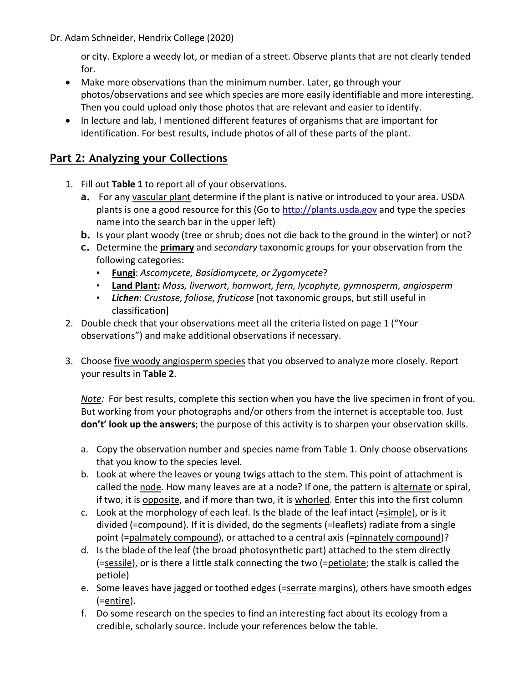Dr. Adam Schneider, Hendrix College (2020)

or city. Explore a weedy lot, or median of a street. Observe plants that are not clearly tended for.

- Make more observations than the minimum number. Later, go through your photos/observations and see which species are more easily identifiable and more interesting. Then you could upload only those photos that are relevant and easier to identify.
- In lecture and lab, I mentioned different features of organisms that are important for identification. For best results, include photos of all of these parts of the plant.

# **Part 2: Analyzing your Collections**

- 1. Fill out **Table 1** to report all of your observations.
	- **a.** For any vascular plant determine if the plant is native or introduced to your area. USDA plants is one a good resource for this (Go to http://plants.usda.gov and type the species name into the search bar in the upper left)
	- **b.** Is your plant woody (tree or shrub; does not die back to the ground in the winter) or not?
	- **c.** Determine the **primary** and *secondary* taxonomic groups for your observation from the following categories:
		- **Fungi**: *Ascomycete, Basidiomycete, or Zygomycete*?
		- **Land Plant:** *Moss, liverwort, hornwort, fern, lycophyte, gymnosperm, angiosperm*
		- *Lichen*: *Crustose, foliose, fruticose* [not taxonomic groups, but still useful in classification]
- 2. Double check that your observations meet all the criteria listed on page 1 ("Your observations") and make additional observations if necessary.
- 3. Choose five woody angiosperm species that you observed to analyze more closely. Report your results in **Table 2**.

*Note:* For best results, complete this section when you have the live specimen in front of you. But working from your photographs and/or others from the internet is acceptable too. Just **don't' look up the answers**; the purpose of this activity is to sharpen your observation skills.

- a. Copy the observation number and species name from Table 1. Only choose observations that you know to the species level.
- b. Look at where the leaves or young twigs attach to the stem. This point of attachment is called the node. How many leaves are at a node? If one, the pattern is alternate or spiral, if two, it is opposite, and if more than two, it is whorled. Enter this into the first column
- c. Look at the morphology of each leaf. Is the blade of the leaf intact (=simple), or is it divided (=compound). If it is divided, do the segments (=leaflets) radiate from a single point (=palmately compound), or attached to a central axis (=pinnately compound)?
- d. Is the blade of the leaf (the broad photosynthetic part) attached to the stem directly (=sessile), or is there a little stalk connecting the two (=petiolate; the stalk is called the petiole)
- e. Some leaves have jagged or toothed edges (=serrate margins), others have smooth edges (=entire).
- f. Do some research on the species to find an interesting fact about its ecology from a credible, scholarly source. Include your references below the table.